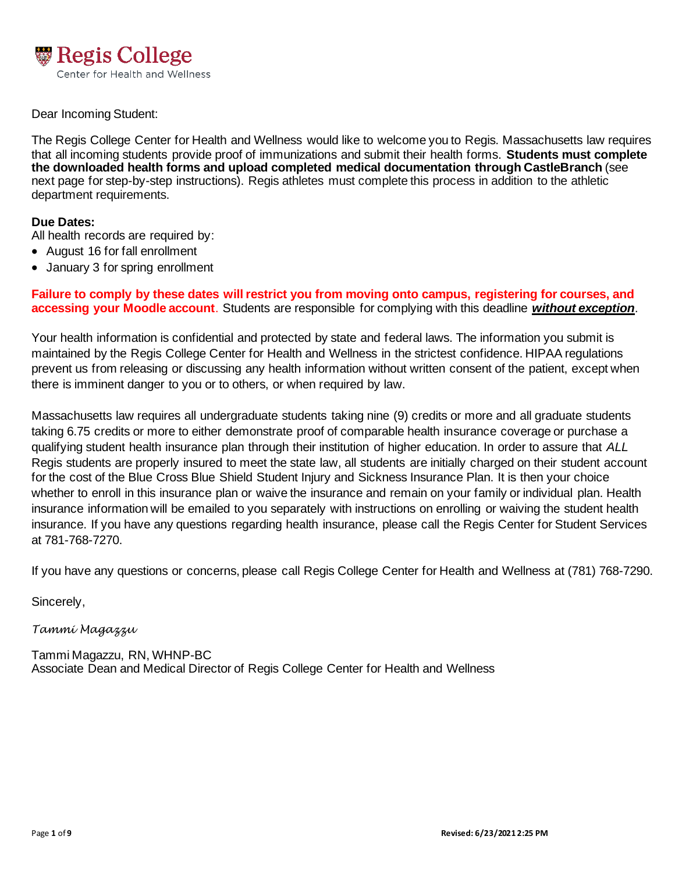

### Dear Incoming Student:

 The Regis College Center for Health and Wellness would like to welcome you to Regis. Massachusetts law requires that all incoming students provide proof of immunizations and submit their health forms. **Students must complete the downloaded health forms and upload completed medical documentation through CastleBranch** (see next page for step-by-step instructions). Regis athletes must complete this process in addition to the athletic department requirements.

### **Due Dates:**

All health records are required by:

- August 16 for fall enrollment
- January 3 for spring enrollment

 **Failure to comply by these dates will restrict you from moving onto campus, registering for courses, and accessing your Moodle account**. Students are responsible for complying with this deadline *without exception*.

 Your health information is confidential and protected by state and federal laws. The information you submit is maintained by the Regis College Center for Health and Wellness in the strictest confidence. HIPAA regulations prevent us from releasing or discussing any health information without written consent of the patient, except when there is imminent danger to you or to others, or when required by law.

 Massachusetts law requires all undergraduate students taking nine (9) credits or more and all graduate students taking 6.75 credits or more to either demonstrate proof of comparable health insurance coverage or purchase a qualifying student health insurance plan through their institution of higher education. In order to assure that *ALL*  Regis students are properly insured to meet the state law, all students are initially charged on their student account for the cost of the Blue Cross Blue Shield Student Injury and Sickness Insurance Plan. It is then your choice whether to enroll in this insurance plan or waive the insurance and remain on your family or individual plan. Health insurance information will be emailed to you separately with instructions on enrolling or waiving the student health insurance. If you have any questions regarding health insurance, please call the Regis Center for Student Services at 781-768-7270.

If you have any questions or concerns, please call Regis College Center for Health and Wellness at (781) 768-7290.

Sincerely,

### *Tammi Magazzu*

 Tammi Magazzu, RN, WHNP-BC Associate Dean and Medical Director of Regis College Center for Health and Wellness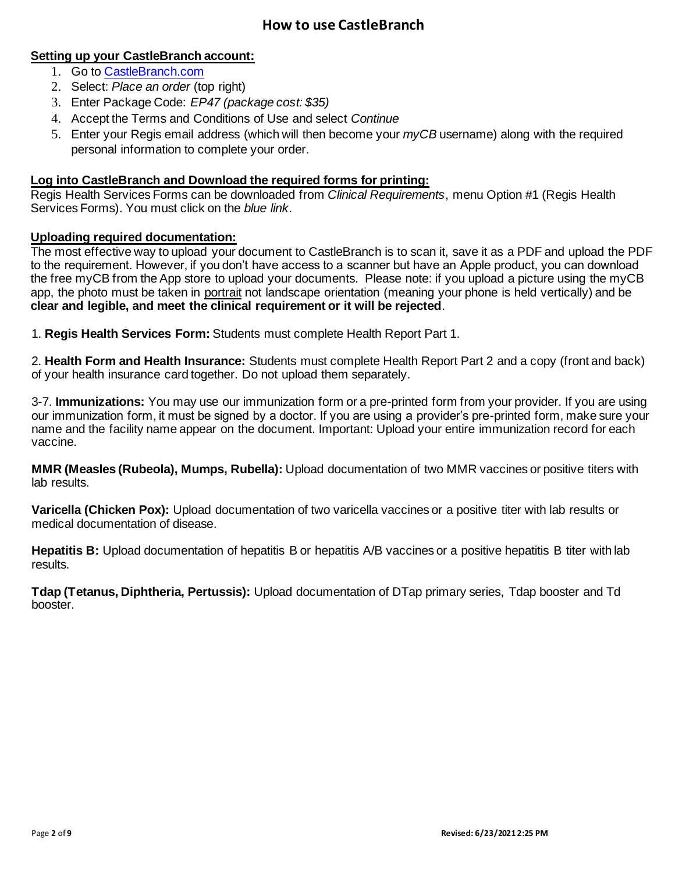# **How to use CastleBranch**

# **Setting up your CastleBranch account:**

- 1. Go to CastleBranch.com
- 2. Select: *Place an order* (top right)
- 3. Enter Package Code: *EP47 (package cost: \$35)*
- 4. Accept the Terms and Conditions of Use and select *Continue*
- 5. Enter your Regis email address (which will then become your *myCB* username) along with the required personal information to complete your order.

## **Log into CastleBranch and Download the required forms for printing:**

 Regis Health Services Forms can be downloaded from *Clinical Requirements*, menu Option #1 (Regis Health Services Forms). You must click on the *blue link*.

### **Uploading required documentation:**

 The most effective way to upload your document to CastleBranch is to scan it, save it as a PDF and upload the PDF to the requirement. However, if you don't have access to a scanner but have an Apple product, you can download the free myCB from the App store to upload your documents. Please note: if you upload a picture using the myCB app, the photo must be taken in portrait not landscape orientation (meaning your phone is held vertically) and be  **clear and legible, and meet the clinical requirement or it will be rejected**.

 1. **Regis Health Services Form:** Students must complete Health Report Part 1.

 2. **Health Form and Health Insurance:** Students must complete Health Report Part 2 and a copy (front and back) of your health insurance card together. Do not upload them separately.

 3-7. **Immunizations:** You may use our immunization form or a pre-printed form from your provider. If you are using our immunization form, it must be signed by a doctor. If you are using a provider's pre-printed form, make sure your name and the facility name appear on the document. Important: Upload your entire immunization record for each vaccine.

 **MMR (Measles (Rubeola), Mumps, Rubella):** Upload documentation of two MMR vaccines or positive titers with lab results.

 **Varicella (Chicken Pox):** Upload documentation of two varicella vaccines or a positive titer with lab results or medical documentation of disease.

 **Hepatitis B:** Upload documentation of hepatitis B or hepatitis A/B vaccines or a positive hepatitis B titer with lab results.

 **Tdap (Tetanus, Diphtheria, Pertussis):** Upload documentation of DTap primary series, Tdap booster and Td booster.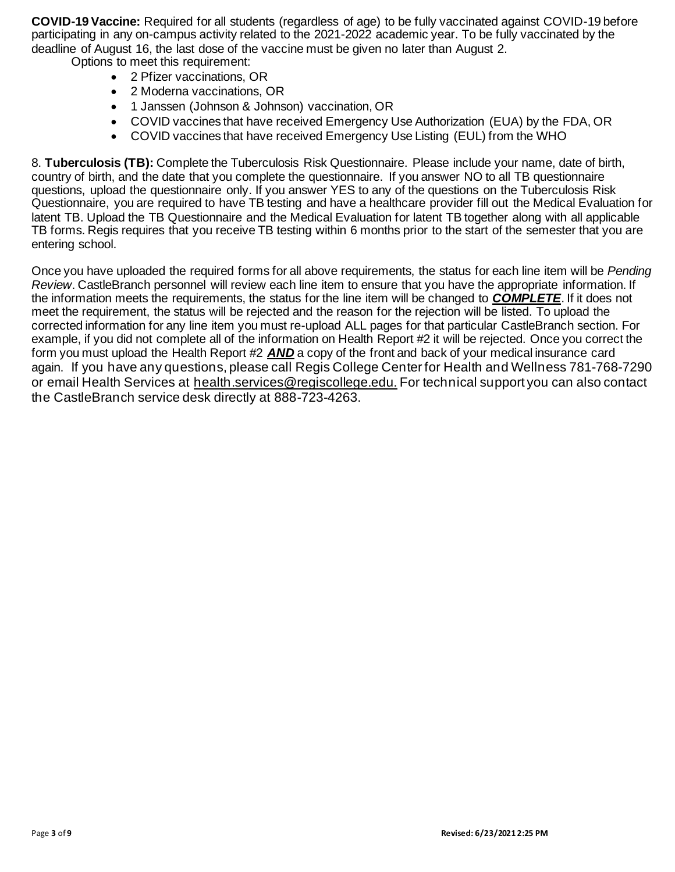**COVID-19 Vaccine:** Required for all students (regardless of age) to be fully vaccinated against COVID-19 before participating in any on-campus activity related to the 2021-2022 academic year. To be fully vaccinated by the deadline of August 16, the last dose of the vaccine must be given no later than August 2. Options to meet this requirement:

- 2 Pfizer vaccinations, OR
- 2 Moderna vaccinations, OR
- 1 Janssen (Johnson & Johnson) vaccination, OR
- COVID vaccines that have received Emergency Use Authorization (EUA) by the FDA, OR
- COVID vaccines that have received Emergency Use Listing (EUL) from the WHO

 8. **Tuberculosis (TB):** Complete the Tuberculosis Risk Questionnaire. Please include your name, date of birth, country of birth, and the date that you complete the questionnaire. If you answer NO to all TB questionnaire questions, upload the questionnaire only. If you answer YES to any of the questions on the Tuberculosis Risk Questionnaire, you are required to have TB testing and have a healthcare provider fill out the Medical Evaluation for latent TB. Upload the TB Questionnaire and the Medical Evaluation for latent TB together along with all applicable TB forms. Regis requires that you receive TB testing within 6 months prior to the start of the semester that you are entering school.

 Once you have uploaded the required forms for all above requirements, the status for each line item will be *Pending Review*. CastleBranch personnel will review each line item to ensure that you have the appropriate information. If the information meets the requirements, the status for the line item will be changed to *COMPLETE*. If it does not meet the requirement, the status will be rejected and the reason for the rejection will be listed. To upload the corrected information for any line item you must re-upload ALL pages for that particular CastleBranch section. For example, if you did not complete all of the information on Health Report #2 it will be rejected. Once you correct the form you must upload the Health Report #2 *AND* a copy of the front and back of your medical insurance card again. If you have any questions, please call Regis College Center for Health and Wellness 781-768-7290 or email Health Services at [health.services@regiscollege.edu](mailto:health.services@regiscollege.edu). For technical support you can also contact the CastleBranch service desk directly at 888-723-4263.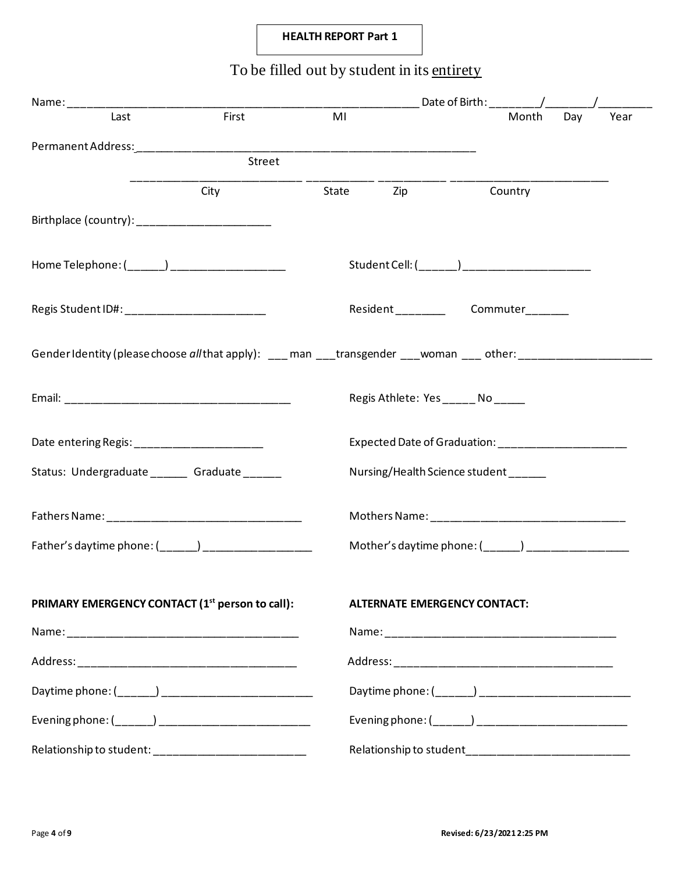# **HEALTH REPORT Part 1**

# To be filled out by student in its entirety

| Last                                                                                                          | First  | MI    |     | Month                                                 | Day | Year |
|---------------------------------------------------------------------------------------------------------------|--------|-------|-----|-------------------------------------------------------|-----|------|
|                                                                                                               |        |       |     |                                                       |     |      |
|                                                                                                               | Street |       |     |                                                       |     |      |
|                                                                                                               | City   | State | Zip | Country                                               |     |      |
|                                                                                                               |        |       |     |                                                       |     |      |
| Home Telephone: (______) ____________________                                                                 |        |       |     | Student Cell: (______) ________________________       |     |      |
| Regis Student ID#: ____________________________                                                               |        |       |     | Resident_______________Commuter________               |     |      |
| GenderIdentity (please choose all that apply): ___ man ___transgender ___woman ___ other: ___________________ |        |       |     |                                                       |     |      |
|                                                                                                               |        |       |     | Regis Athlete: Yes _____ No ____                      |     |      |
| Date entering Regis: _______________________                                                                  |        |       |     | Expected Date of Graduation: ________________________ |     |      |
| Status: Undergraduate _______ Graduate ______                                                                 |        |       |     | Nursing/Health Science student                        |     |      |
|                                                                                                               |        |       |     |                                                       |     |      |
|                                                                                                               |        |       |     | Mother's daytime phone: (______) ____________________ |     |      |
| PRIMARY EMERGENCY CONTACT (1 <sup>st</sup> person to call):                                                   |        |       |     | <b>ALTERNATE EMERGENCY CONTACT:</b>                   |     |      |
|                                                                                                               |        |       |     |                                                       |     |      |
|                                                                                                               |        |       |     |                                                       |     |      |
|                                                                                                               |        |       |     |                                                       |     |      |
|                                                                                                               |        |       |     |                                                       |     |      |
| Relationship to student: ____________________________                                                         |        |       |     |                                                       |     |      |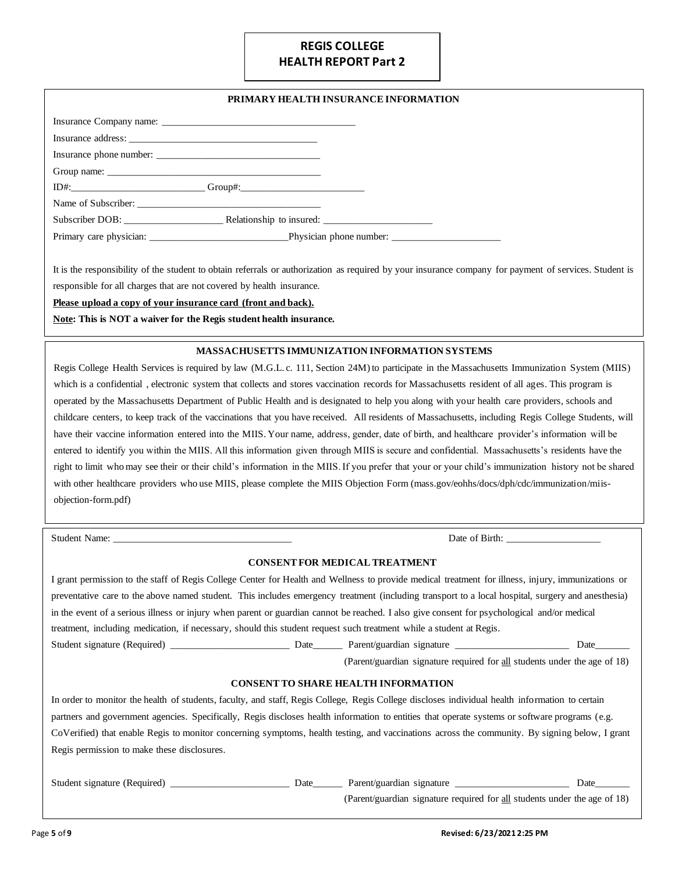# **HEALTH REPORT Part 2 REGIS COLLEGE**

#### **PRIMARY HEALTH INSURANCE INFORMATION**

| Insurance phone number:                         |  |
|-------------------------------------------------|--|
|                                                 |  |
| $ID#:$ Group#:                                  |  |
| Name of Subscriber:                             |  |
|                                                 |  |
| Primary care physician: Physician phone number: |  |

 It is the responsibility of the student to obtain referrals or authorization as required by your insurance company for payment of services. Student is responsible for all charges that are not covered by health insurance.

 **Please upload a copy of your insurance card (front and back).** 

**Note: This is NOT a waiver for the Regis student health insurance.** 

#### **MASSACHUSETTS IMMUNIZATION INFORMATION SYSTEMS**

 which is a confidential , electronic system that collects and stores vaccination records for Massachusetts resident of all ages. This program is operated by the Massachusetts Department of Public Health and is designated to help you along with your health care providers, schools and childcare centers, to keep track of the vaccinations that you have received. All residents of Massachusetts, including Regis College Students, will entered to identify you within the MIIS. All this information given through MIIS is secure and confidential. Massachusetts's residents have the right to limit who may see their or their child's information in the MIIS. If you prefer that your or your child's immunization history not be shared with other healthcare providers who use MIIS, please complete the MIIS Objection Form ([mass.gov/eohhs/docs/dph/cdc/immunization/miis](https://mass.gov/eohhs/docs/dph/cdc/immunization/miis)-Regis College Health Services is required by law (M.G.L. c. 111, Section 24M) to participate in the Massachusetts Immunization System (MIIS) have their vaccine information entered into the MIIS. Your name, address, gender, date of birth, and healthcare provider's information will be objection-form.pdf)

Student Name:

Date of Birth: \_\_

#### **CONSENT FOR MEDICAL TREATMENT**

| I grant permission to the staff of Regis College Center for Health and Wellness to provide medical treatment for illness, injury, immunizations or |      |                                                                           |      |
|----------------------------------------------------------------------------------------------------------------------------------------------------|------|---------------------------------------------------------------------------|------|
| preventative care to the above named student. This includes emergency treatment (including transport to a local hospital, surgery and anesthesia)  |      |                                                                           |      |
| in the event of a serious illness or injury when parent or guardian cannot be reached. I also give consent for psychological and/or medical        |      |                                                                           |      |
| treatment, including medication, if necessary, should this student request such treatment while a student at Regis.                                |      |                                                                           |      |
| Student signature (Required)                                                                                                                       | Date | Parent/guardian signature                                                 | Date |
|                                                                                                                                                    |      | (Parent/guardian signature required for all students under the age of 18) |      |

#### **CONSENT TO SHARE HEALTH INFORMATION**

 In order to monitor the health of students, faculty, and staff, Regis College, Regis College discloses individual health information to certain partners and government agencies. Specifically, Regis discloses health information to entities that operate systems or software programs (e.g. CoVerified) that enable Regis to monitor concerning symptoms, health testing, and vaccinations across the community. By signing below, I grant Regis permission to make these disclosures.

Student signature (Required) \_\_\_\_\_\_\_\_\_\_\_\_\_\_\_\_\_\_\_\_\_\_\_\_ Date\_\_\_\_\_\_ Parent/guardian signature \_\_\_\_\_\_\_\_\_\_\_\_\_\_\_\_\_\_\_\_\_\_\_ Date\_\_\_\_\_\_\_

(Parent/guardian signature required for all students under the age of 18)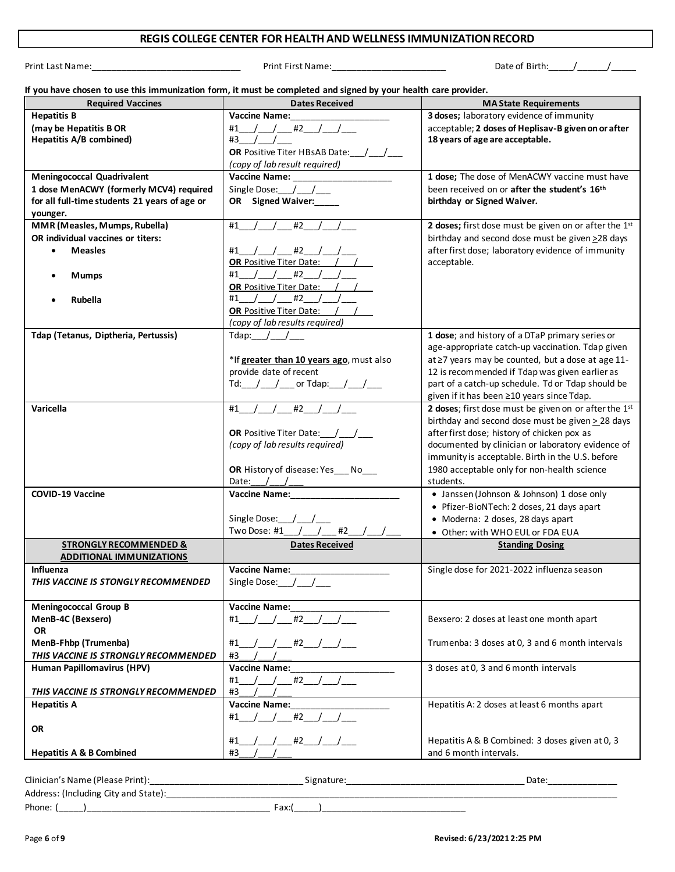#### **REGIS COLLEGE CENTER FOR HEALTH AND WELLNESS IMMUNIZATION RECORD**

Print Last Name:\_\_\_\_\_\_\_\_\_\_\_\_\_\_\_\_\_\_\_\_\_\_\_\_\_\_\_\_\_\_ Print First Name:\_\_\_\_\_\_\_\_\_\_\_\_\_\_\_\_\_\_\_\_\_\_\_ Date of Birth:\_\_\_\_\_/\_\_\_\_\_\_/\_\_\_\_\_

 **If you have chosen to use this immunization form, it must be completed and signed by your health care provider.** 

| <b>Required Vaccines</b>                                                                 | <b>Dates Received</b>                                  | <b>MA State Requirements</b>                                                                    |
|------------------------------------------------------------------------------------------|--------------------------------------------------------|-------------------------------------------------------------------------------------------------|
| <b>Hepatitis B</b>                                                                       | <b>Vaccine Name:</b>                                   | 3 doses; laboratory evidence of immunity                                                        |
| (may be Hepatitis B OR                                                                   | $#1$ / / $#2$ / / /                                    | acceptable; 2 doses of Heplisav-B given on or after                                             |
| Hepatitis A/B combined)                                                                  | $#3$ /                                                 | 18 years of age are acceptable.                                                                 |
|                                                                                          | <b>OR</b> Positive Titer HBsAB Date: /                 |                                                                                                 |
|                                                                                          | (copy of lab result required)                          |                                                                                                 |
| <b>Meningococcal Quadrivalent</b>                                                        | <b>Vaccine Name:</b>                                   | 1 dose; The dose of MenACWY vaccine must have                                                   |
| 1 dose MenACWY (formerly MCV4) required<br>for all full-time students 21 years of age or | OR Signed Waiver:                                      | been received on or after the student's 16 <sup>th</sup><br>birthday or Signed Waiver.          |
| younger.                                                                                 |                                                        |                                                                                                 |
| MMR (Measles, Mumps, Rubella)                                                            | #2<br>#1                                               | 2 doses; first dose must be given on or after the 1st                                           |
| OR individual vaccines or titers:                                                        |                                                        | birthday and second dose must be given >28 days                                                 |
| <b>Measles</b><br>$\bullet$                                                              | $/$ #2 $/$<br>#1 /                                     | after first dose; laboratory evidence of immunity                                               |
|                                                                                          | <b>OR Positive Titer Date:</b>                         | acceptable.                                                                                     |
| <b>Mumps</b>                                                                             | #1 / / #2 /                                            |                                                                                                 |
|                                                                                          | <b>OR Positive Titer Date:</b>                         |                                                                                                 |
| Rubella                                                                                  | #1 / / #2                                              |                                                                                                 |
|                                                                                          | <b>OR Positive Titer Date:</b>                         |                                                                                                 |
|                                                                                          | (copy of lab results required)                         |                                                                                                 |
| Tdap (Tetanus, Diptheria, Pertussis)                                                     | Tdap: $/$ /                                            | 1 dose; and history of a DTaP primary series or                                                 |
|                                                                                          |                                                        | age-appropriate catch-up vaccination. Tdap given                                                |
|                                                                                          | *If greater than 10 years ago, must also               | at ≥7 years may be counted, but a dose at age 11-                                               |
|                                                                                          | provide date of recent                                 | 12 is recommended if Tdap was given earlier as                                                  |
|                                                                                          | Td: $\frac{1}{\sqrt{2}}$ or Tdap: $\frac{1}{\sqrt{2}}$ | part of a catch-up schedule. Td or Tdap should be<br>given if it has been ≥10 years since Tdap. |
| Varicella                                                                                | #2<br>#1                                               | 2 doses; first dose must be given on or after the 1st                                           |
|                                                                                          |                                                        | birthday and second dose must be given $\geq$ 28 days                                           |
|                                                                                          | OR Positive Titer Date: /_/_/_                         | after first dose; history of chicken pox as                                                     |
|                                                                                          | (copy of lab results required)                         | documented by clinician or laboratory evidence of                                               |
|                                                                                          |                                                        | immunity is acceptable. Birth in the U.S. before                                                |
|                                                                                          | OR History of disease: Yes___No___                     | 1980 acceptable only for non-health science                                                     |
|                                                                                          | Date: $/$ /                                            | students.                                                                                       |
| <b>COVID-19 Vaccine</b>                                                                  | <b>Vaccine Name:</b> Vaccine Name:                     | • Janssen (Johnson & Johnson) 1 dose only                                                       |
|                                                                                          |                                                        | • Pfizer-BioNTech: 2 doses, 21 days apart                                                       |
|                                                                                          | Single Dose: $/$ /                                     | • Moderna: 2 doses, 28 days apart                                                               |
|                                                                                          | Two Dose: #1<br>$\frac{1}{2}$<br>#2                    | • Other: with WHO EUL or FDA EUA                                                                |
| <b>STRONGLY RECOMMENDED &amp;</b>                                                        | <b>Dates Received</b>                                  | <b>Standing Dosing</b>                                                                          |
| <b>ADDITIONAL IMMUNIZATIONS</b><br>Influenza                                             | <b>Vaccine Name:</b>                                   | Single dose for 2021-2022 influenza season                                                      |
| THIS VACCINE IS STONGLY RECOMMENDED                                                      | Single Dose: /                                         |                                                                                                 |
|                                                                                          |                                                        |                                                                                                 |
| <b>Meningococcal Group B</b>                                                             | <b>Vaccine Name:</b>                                   |                                                                                                 |
| MenB-4C (Bexsero)                                                                        | $#1$ / / $#2$ / /                                      | Bexsero: 2 doses at least one month apart                                                       |
| <b>OR</b>                                                                                |                                                        |                                                                                                 |
| MenB-Fhbp (Trumenba)                                                                     | '___/____ #2___/___/____<br>#1                         | Trumenba: 3 doses at 0, 3 and 6 month intervals                                                 |
| THIS VACCINE IS STRONGLY RECOMMENDED                                                     | #3                                                     |                                                                                                 |
| Human Papillomavirus (HPV)                                                               | <b>Vaccine Name:</b>                                   | 3 doses at 0, 3 and 6 month intervals                                                           |
|                                                                                          | $#1$ / / $#2$ /                                        |                                                                                                 |
| THIS VACCINE IS STRONGLY RECOMMENDED                                                     | #3                                                     |                                                                                                 |
| <b>Hepatitis A</b>                                                                       | <b>Vaccine Name:</b>                                   | Hepatitis A: 2 doses at least 6 months apart                                                    |
|                                                                                          | #1 / / #2 / /                                          |                                                                                                 |
| <b>OR</b>                                                                                |                                                        | Hepatitis A & B Combined: 3 doses given at 0, 3                                                 |
| <b>Hepatitis A &amp; B Combined</b>                                                      | #1 / / #2 / /<br>#3                                    | and 6 month intervals.                                                                          |
|                                                                                          |                                                        |                                                                                                 |
|                                                                                          |                                                        |                                                                                                 |

| Clinician's Name (Please Print):     | na tui t | Date <sup>-</sup> |
|--------------------------------------|----------|-------------------|
| Address: (Including City and State): |          |                   |
| Phone:                               | ∶ax:i    |                   |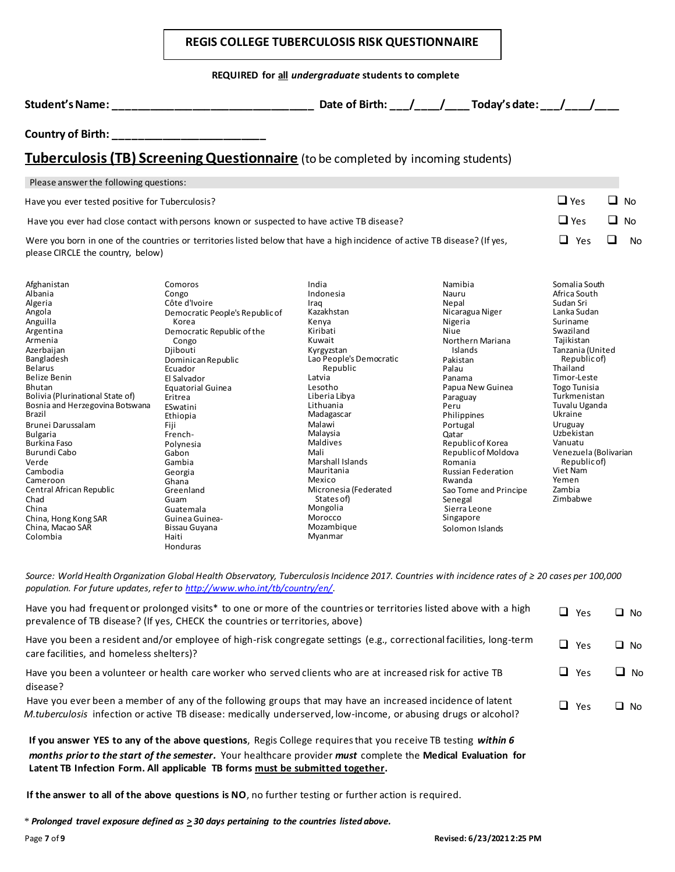|                                                                                                                                                                                                                                                                                                                |                                                                                                                                                                                                                                                                          | <b>REGIS COLLEGE TUBERCULOSIS RISK QUESTIONNAIRE</b>                                                                                                                                                                            |                                                                                                                                                                                                                                                                                                                                                                                                           |                                                                                                                                                                                                                                                                        |           |
|----------------------------------------------------------------------------------------------------------------------------------------------------------------------------------------------------------------------------------------------------------------------------------------------------------------|--------------------------------------------------------------------------------------------------------------------------------------------------------------------------------------------------------------------------------------------------------------------------|---------------------------------------------------------------------------------------------------------------------------------------------------------------------------------------------------------------------------------|-----------------------------------------------------------------------------------------------------------------------------------------------------------------------------------------------------------------------------------------------------------------------------------------------------------------------------------------------------------------------------------------------------------|------------------------------------------------------------------------------------------------------------------------------------------------------------------------------------------------------------------------------------------------------------------------|-----------|
|                                                                                                                                                                                                                                                                                                                |                                                                                                                                                                                                                                                                          | REQUIRED for all undergraduate students to complete                                                                                                                                                                             |                                                                                                                                                                                                                                                                                                                                                                                                           |                                                                                                                                                                                                                                                                        |           |
|                                                                                                                                                                                                                                                                                                                | Student's Name: Name and Student and Student's Name:                                                                                                                                                                                                                     |                                                                                                                                                                                                                                 | Date of Birth: $\frac{1}{\sqrt{1-\frac{1}{1-\frac{1}{1-\frac{1}{1-\frac{1}{1-\frac{1}{1-\frac{1}{1-\frac{1}{1-\frac{1}{1-\frac{1}{1-\frac{1}{1-\frac{1}{1-\frac{1}{1-\frac{1}{1-\frac{1}{1-\frac{1}{1-\frac{1}{1-\frac{1}{1-\frac{1}{1-\frac{1}{1-\frac{1}{1-\frac{1}{1-\frac{1}{1-\frac{1}{1-\frac{1}{1-\frac{1}{1-\frac{1}{1-\frac{1}{1-\frac{1}{1-\frac{1}{1-\frac{1}{1-\frac{1}{1-\frac{1}{1-\frac{1$ |                                                                                                                                                                                                                                                                        |           |
| Country of Birth: _________________________                                                                                                                                                                                                                                                                    |                                                                                                                                                                                                                                                                          |                                                                                                                                                                                                                                 |                                                                                                                                                                                                                                                                                                                                                                                                           |                                                                                                                                                                                                                                                                        |           |
|                                                                                                                                                                                                                                                                                                                | Tuberculosis (TB) Screening Questionnaire (to be completed by incoming students)                                                                                                                                                                                         |                                                                                                                                                                                                                                 |                                                                                                                                                                                                                                                                                                                                                                                                           |                                                                                                                                                                                                                                                                        |           |
| Please answer the following questions:                                                                                                                                                                                                                                                                         |                                                                                                                                                                                                                                                                          |                                                                                                                                                                                                                                 |                                                                                                                                                                                                                                                                                                                                                                                                           |                                                                                                                                                                                                                                                                        |           |
| Have you ever tested positive for Tuberculosis?                                                                                                                                                                                                                                                                |                                                                                                                                                                                                                                                                          |                                                                                                                                                                                                                                 |                                                                                                                                                                                                                                                                                                                                                                                                           | $\Box$ Yes<br>◻                                                                                                                                                                                                                                                        | <b>No</b> |
|                                                                                                                                                                                                                                                                                                                | Have you ever had close contact with persons known or suspected to have active TB disease?                                                                                                                                                                               |                                                                                                                                                                                                                                 |                                                                                                                                                                                                                                                                                                                                                                                                           | $\Box$ Yes<br>□                                                                                                                                                                                                                                                        | <b>No</b> |
| please CIRCLE the country, below)                                                                                                                                                                                                                                                                              | Were you born in one of the countries or territories listed below that have a high incidence of active TB disease? (If yes,                                                                                                                                              |                                                                                                                                                                                                                                 |                                                                                                                                                                                                                                                                                                                                                                                                           | $\Box$<br>□<br>Yes                                                                                                                                                                                                                                                     | <b>No</b> |
| Afghanistan<br>Albania<br>Algeria<br>Angola<br>Anguilla<br>Argentina<br>Armenia<br>Azerbaijan<br>Bangladesh<br><b>Belarus</b><br>Belize Benin<br><b>Bhutan</b><br>Bolivia (Plurinational State of)<br>Bosnia and Herzegovina Botswana<br><b>Brazil</b><br>Brunei Darussalam<br><b>Bulgaria</b><br>Burkina Faso | Comoros<br>Congo<br>Côte d'Ivoire<br>Democratic People's Republic of<br>Korea<br>Democratic Republic of the<br>Congo<br>Djibouti<br>Dominican Republic<br>Ecuador<br>El Salvador<br>Equatorial Guinea<br>Eritrea<br>ESwatini<br>Ethiopia<br>Fiji<br>French-<br>Polynesia | India<br>Indonesia<br>Iraq<br>Kazakhstan<br>Kenya<br>Kiribati<br>Kuwait<br>Kyrgyzstan<br>Lao People's Democratic<br>Republic<br>Latvia<br>Lesotho<br>Liberia Libya<br>Lithuania<br>Madagascar<br>Malawi<br>Malaysia<br>Maldives | Namibia<br>Nauru<br>Nepal<br>Nicaragua Niger<br>Nigeria<br>Niue<br>Northern Mariana<br>Islands<br>Pakistan<br>Palau<br>Panama<br>Papua New Guinea<br>Paraguay<br>Peru<br>Philippines<br>Portugal<br>Qatar<br>Republic of Korea                                                                                                                                                                            | Somalia South<br>Africa South<br>Sudan Sri<br>Lanka Sudan<br>Suriname<br>Swaziland<br>Tajikistan<br>Tanzania (United<br>Republic of)<br>Thailand<br>Timor-Leste<br><b>Togo Tunisia</b><br>Turkmenistan<br>Tuvalu Uganda<br>Ukraine<br>Uruguay<br>Uzbekistan<br>Vanuatu |           |

Source: World Health Organization Global Health Observatory, Tuberculosis Incidence 2017. Countries with incidence rates of ≥ 20 cases per 100,000  *population. For future updates, refer to <http://www.who.int/tb/country/en>/*.

Central African Republic Greenland Micronesia (Federated Sao Tome and Principe Zambia

Cameroon Ghana Mexico Rwanda Yemen Chad Guam States of) Senegal Zimbabwe

Cambodia Georgia Mauritania Russian Federation Viet Nam

Verde Gambia Marshall Islands Romania Republic of)

Marshall Islands<br>Mauritania

Burundi Cabo Gabon Mali Republic of Moldova Venezuela (Bolivarian

States of)<br>Mongolia

| Have you had frequent or prolonged visits* to one or more of the countries or territories listed above with a high<br>prevalence of TB disease? (If yes, CHECK the countries or territories, above)                         |   | $\Box$ Yes | $\Box$ No |
|-----------------------------------------------------------------------------------------------------------------------------------------------------------------------------------------------------------------------------|---|------------|-----------|
| Have you been a resident and/or employee of high-risk congregate settings (e.g., correctional facilities, long-term<br>care facilities, and homeless shelters)?                                                             |   | $\Box$ Yes | $\Box$ No |
| Have you been a volunteer or health care worker who served clients who are at increased risk for active TB<br>disease?                                                                                                      |   | ∟l Yes     | ⊔ No      |
| Have you ever been a member of any of the following groups that may have an increased incidence of latent<br>M.tuberculosis infection or active TB disease: medically underserved, low-income, or abusing drugs or alcohol? | ┚ | Yes        | □ No      |
| The companies of the succellule share acceptance. Day's Callage searcheathet care searches TD textion critical                                                                                                              |   |            |           |

 **If you answer YES to any of the above questions**, Regis College requires that you receive TB testing *within 6 months prior to the start of the semester.* Your healthcare provider *must* complete the **Medical Evaluation for Latent TB Infection Form. All applicable TB forms must be submitted together.** 

 **If the answer to all of the above questions is NO**, no further testing or further action is required.

 China, Hong Kong SAR Guinea Guinea- Morocco Singapore China, Macao SAR Bissau Guyana Mozambique Solomon Islands

Colombia Haiti Myanmar Honduras

China Guatemala Mongolia Sierra Leone

 *\* Prolonged travel exposure defined as > 30 days pertaining to the countries listed above.*

Burundi Cabo

Central African Republic

Republic of Moldova

Sao Tome and Principe<br>Senegal

Viet Nam<br>Yemen

Sierra Leone<br>Singapore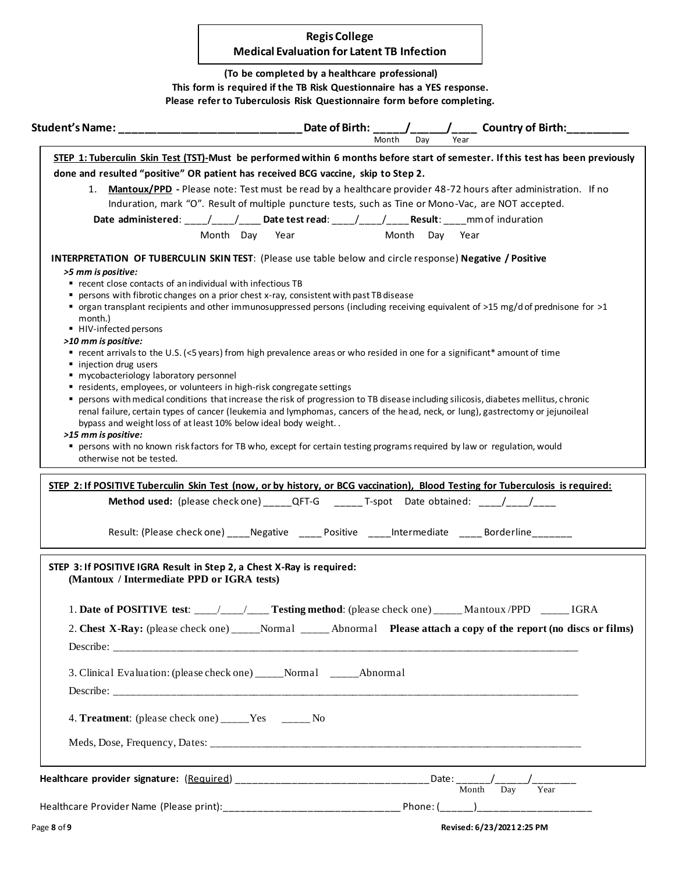# **Medical Evaluation for Latent TB Infection Regis College**

 **(To be completed by a healthcare professional) This form is required if the TB Risk Questionnaire has a YES response. Please refer to Tuberculosis Risk Questionnaire form before completing.** 

|                                                                        | Month<br>Dav<br>Year                                                                                                                                                                                                                                                   |
|------------------------------------------------------------------------|------------------------------------------------------------------------------------------------------------------------------------------------------------------------------------------------------------------------------------------------------------------------|
|                                                                        | STEP 1: Tuberculin Skin Test (TST)-Must be performed within 6 months before start of semester. If this test has been previously                                                                                                                                        |
|                                                                        | done and resulted "positive" OR patient has received BCG vaccine, skip to Step 2.                                                                                                                                                                                      |
|                                                                        | 1. Mantoux/PPD - Please note: Test must be read by a healthcare provider 48-72 hours after administration. If no                                                                                                                                                       |
|                                                                        | Induration, mark "O". Result of multiple puncture tests, such as Tine or Mono-Vac, are NOT accepted.                                                                                                                                                                   |
|                                                                        | Date administered: ___/___/___Date test read: ___/___/___Result: ____mm of induration                                                                                                                                                                                  |
|                                                                        |                                                                                                                                                                                                                                                                        |
|                                                                        | Month Day Year<br>Month Day Year                                                                                                                                                                                                                                       |
|                                                                        | <b>INTERPRETATION OF TUBERCULIN SKIN TEST:</b> (Please use table below and circle response) Negative / Positive                                                                                                                                                        |
| >5 mm is positive:                                                     |                                                                                                                                                                                                                                                                        |
| recent close contacts of an individual with infectious TB              |                                                                                                                                                                                                                                                                        |
|                                                                        | persons with fibrotic changes on a prior chest x-ray, consistent with past TB disease                                                                                                                                                                                  |
|                                                                        | ■ organ transplant recipients and other immunosuppressed persons (including receiving equivalent of >15 mg/d of prednisone for >1                                                                                                                                      |
| month.)<br>■ HIV-infected persons                                      |                                                                                                                                                                                                                                                                        |
| >10 mm is positive:                                                    |                                                                                                                                                                                                                                                                        |
|                                                                        | ■ recent arrivals to the U.S. (<5 years) from high prevalence areas or who resided in one for a significant* amount of time                                                                                                                                            |
| • injection drug users                                                 |                                                                                                                                                                                                                                                                        |
| " mycobacteriology laboratory personnel                                |                                                                                                                                                                                                                                                                        |
| " residents, employees, or volunteers in high-risk congregate settings |                                                                                                                                                                                                                                                                        |
|                                                                        | persons with medical conditions that increase the risk of progression to TB disease including silicosis, diabetes mellitus, chronic<br>renal failure, certain types of cancer (leukemia and lymphomas, cancers of the head, neck, or lung), gastrectomy or jejunoileal |
| bypass and weight loss of at least 10% below ideal body weight         |                                                                                                                                                                                                                                                                        |
| >15 mm is positive:                                                    |                                                                                                                                                                                                                                                                        |
|                                                                        | " persons with no known risk factors for TB who, except for certain testing programs required by law or regulation, would                                                                                                                                              |
| otherwise not be tested.                                               |                                                                                                                                                                                                                                                                        |
|                                                                        | Method used: (please check one) _______QFT-G _________T-spot Date obtained: ____/____/_____                                                                                                                                                                            |
|                                                                        | Result: (Please check one) _____ Negative ______ Positive ______ Intermediate ______ Borderline ________                                                                                                                                                               |
| (Mantoux / Intermediate PPD or IGRA tests)                             |                                                                                                                                                                                                                                                                        |
|                                                                        |                                                                                                                                                                                                                                                                        |
|                                                                        | 1. Date of POSITIVE test: ___/___/___Testing method: (please check one) _____Mantoux/PPD _____IGRA                                                                                                                                                                     |
|                                                                        |                                                                                                                                                                                                                                                                        |
|                                                                        |                                                                                                                                                                                                                                                                        |
|                                                                        |                                                                                                                                                                                                                                                                        |
|                                                                        |                                                                                                                                                                                                                                                                        |
|                                                                        | 3. Clinical Evaluation: (please check one) _____Normal ______Abnormal                                                                                                                                                                                                  |
|                                                                        |                                                                                                                                                                                                                                                                        |
| 4. Treatment: (please check one) _____Yes ______No                     |                                                                                                                                                                                                                                                                        |
|                                                                        |                                                                                                                                                                                                                                                                        |
| STEP 3: If POSITIVE IGRA Result in Step 2, a Chest X-Ray is required:  | 2. Chest X-Ray: (please check one) _____Normal ______ Abnormal Please attach a copy of the report (no discs or films)                                                                                                                                                  |
|                                                                        | Month Day Year                                                                                                                                                                                                                                                         |
|                                                                        |                                                                                                                                                                                                                                                                        |